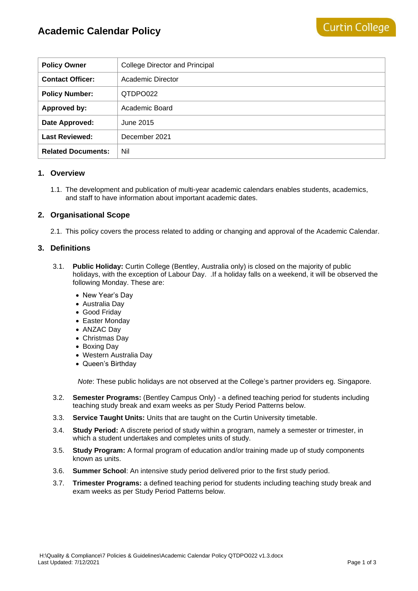| <b>Policy Owner</b>       | College Director and Principal |
|---------------------------|--------------------------------|
| <b>Contact Officer:</b>   | Academic Director              |
| <b>Policy Number:</b>     | QTDPO022                       |
| Approved by:              | Academic Board                 |
| Date Approved:            | June 2015                      |
| <b>Last Reviewed:</b>     | December 2021                  |
| <b>Related Documents:</b> | Nil                            |

# **1. Overview**

1.1. The development and publication of multi-year academic calendars enables students, academics, and staff to have information about important academic dates.

## **2. Organisational Scope**

2.1. This policy covers the process related to adding or changing and approval of the Academic Calendar.

#### **3. Definitions**

- 3.1. **Public Holiday:** Curtin College (Bentley, Australia only) is closed on the majority of public holidays, with the exception of Labour Day. . If a holiday falls on a weekend, it will be observed the following Monday. These are:
	- New Year's Day
	- Australia Day
	- Good Friday
	- Easter Monday
	- ANZAC Day
	- Christmas Day
	- Boxing Day
	- Western Australia Day
	- Queen's Birthday

*Note*: These public holidays are not observed at the College's partner providers eg. Singapore.

- 3.2. **Semester Programs:** (Bentley Campus Only) a defined teaching period for students including teaching study break and exam weeks as per Study Period Patterns below.
- 3.3. **Service Taught Units:** Units that are taught on the Curtin University timetable.
- 3.4. **Study Period:** A discrete period of study within a program, namely a semester or trimester, in which a student undertakes and completes units of study.
- 3.5. **Study Program:** A formal program of education and/or training made up of study components known as units.
- 3.6. **Summer School**: An intensive study period delivered prior to the first study period.
- 3.7. **Trimester Programs:** a defined teaching period for students including teaching study break and exam weeks as per Study Period Patterns below.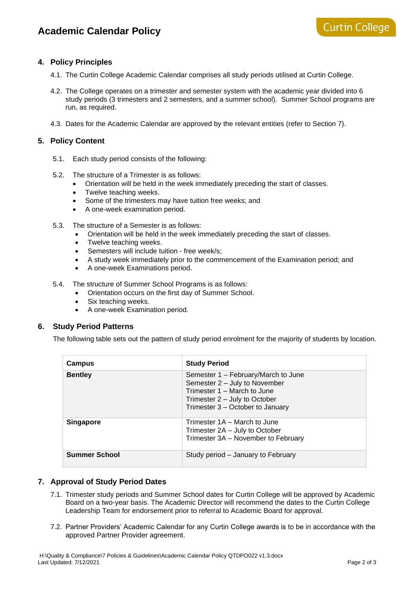# **4. Policy Principles**

- 4.1. The Curtin College Academic Calendar comprises all study periods utilised at Curtin College.
- 4.2. The College operates on a trimester and semester system with the academic year divided into 6 study periods (3 trimesters and 2 semesters, and a summer school). Summer School programs are run, as required.
- 4.3. Dates for the Academic Calendar are approved by the relevant entities (refer to Section 7).

#### **5. Policy Content**

- 5.1. Each study period consists of the following:
- 5.2. The structure of a Trimester is as follows:
	- Orientation will be held in the week immediately preceding the start of classes.
	- Twelve teaching weeks.
	- Some of the trimesters may have tuition free weeks; and
	- A one-week examination period.
- 5.3. The structure of a Semester is as follows:
	- Orientation will be held in the week immediately preceding the start of classes.
	- Twelve teaching weeks.
	- Semesters will include tuition free week/s;
	- A study week immediately prior to the commencement of the Examination period; and
	- A one-week Examinations period.
- 5.4. The structure of Summer School Programs is as follows:
	- Orientation occurs on the first day of Summer School.
	- Six teaching weeks.
	- A one-week Examination period.

#### **6. Study Period Patterns**

The following table sets out the pattern of study period enrolment for the majority of students by location.

| Campus               | <b>Study Period</b>                                                                                                                                                      |
|----------------------|--------------------------------------------------------------------------------------------------------------------------------------------------------------------------|
| <b>Bentley</b>       | Semester 1 – February/March to June<br>Semester 2 - July to November<br>Trimester 1 – March to June<br>Trimester 2 – July to October<br>Trimester 3 – October to January |
| <b>Singapore</b>     | Trimester 1A – March to June<br>Trimester 2A - July to October<br>Trimester 3A - November to February                                                                    |
| <b>Summer School</b> | Study period - January to February                                                                                                                                       |

#### **7. Approval of Study Period Dates**

- 7.1. Trimester study periods and Summer School dates for Curtin College will be approved by Academic Board on a two-year basis. The Academic Director will recommend the dates to the Curtin College Leadership Team for endorsement prior to referral to Academic Board for approval.
- 7.2. Partner Providers' Academic Calendar for any Curtin College awards is to be in accordance with the approved Partner Provider agreement.